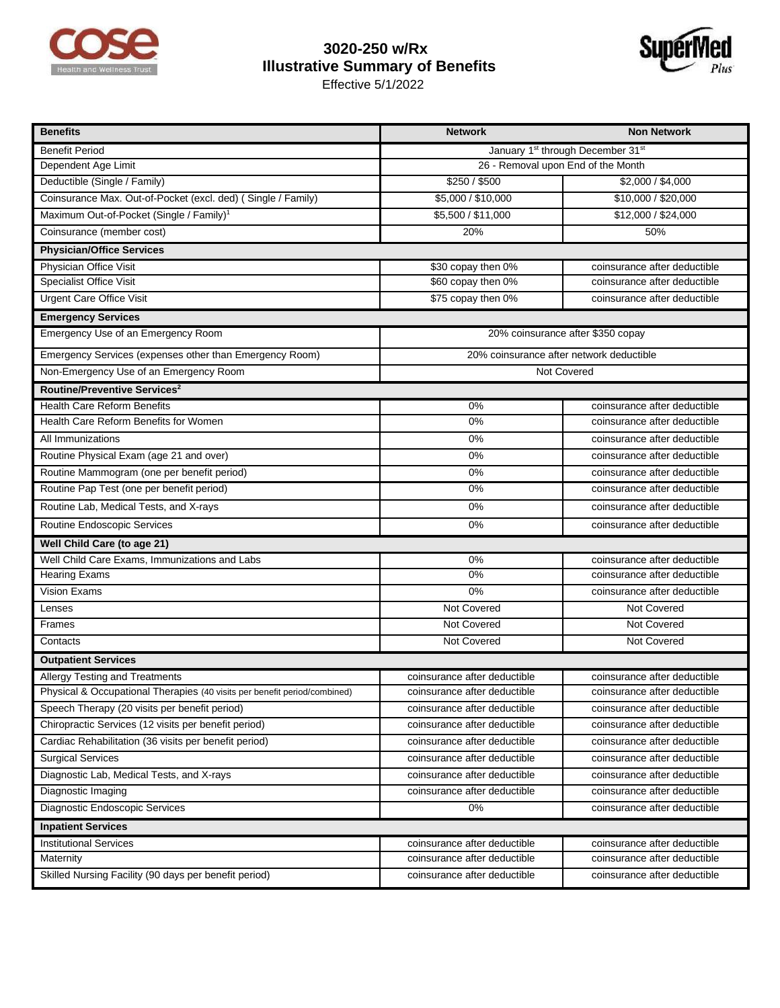

## **3020-250 w/Rx Illustrative Summary of Benefits**

Effective 5/1/2022



| <b>Benefits</b>                                                           | <b>Network</b>                                            | <b>Non Network</b>           |  |
|---------------------------------------------------------------------------|-----------------------------------------------------------|------------------------------|--|
| <b>Benefit Period</b>                                                     | January 1 <sup>st</sup> through December 31 <sup>st</sup> |                              |  |
| Dependent Age Limit                                                       | 26 - Removal upon End of the Month                        |                              |  |
| Deductible (Single / Family)                                              | \$250 / \$500                                             | \$2,000 / \$4,000            |  |
| Coinsurance Max. Out-of-Pocket (excl. ded) ( Single / Family)             | \$5,000 / \$10,000                                        | \$10,000 / \$20,000          |  |
| Maximum Out-of-Pocket (Single / Family) <sup>1</sup>                      | \$5,500 / \$11,000                                        | \$12,000 / \$24,000          |  |
| Coinsurance (member cost)                                                 | 20%                                                       | 50%                          |  |
| <b>Physician/Office Services</b>                                          |                                                           |                              |  |
| Physician Office Visit                                                    | \$30 copay then 0%                                        | coinsurance after deductible |  |
| <b>Specialist Office Visit</b>                                            | \$60 copay then 0%                                        | coinsurance after deductible |  |
| <b>Urgent Care Office Visit</b>                                           | \$75 copay then 0%                                        | coinsurance after deductible |  |
| <b>Emergency Services</b>                                                 |                                                           |                              |  |
| Emergency Use of an Emergency Room                                        | 20% coinsurance after \$350 copay                         |                              |  |
| Emergency Services (expenses other than Emergency Room)                   | 20% coinsurance after network deductible                  |                              |  |
| Non-Emergency Use of an Emergency Room                                    | Not Covered                                               |                              |  |
| Routine/Preventive Services <sup>2</sup>                                  |                                                           |                              |  |
| <b>Health Care Reform Benefits</b>                                        | $0\%$                                                     | coinsurance after deductible |  |
| Health Care Reform Benefits for Women                                     | 0%                                                        | coinsurance after deductible |  |
| All Immunizations                                                         | $0\%$                                                     | coinsurance after deductible |  |
| Routine Physical Exam (age 21 and over)                                   | 0%                                                        | coinsurance after deductible |  |
| Routine Mammogram (one per benefit period)                                | 0%                                                        | coinsurance after deductible |  |
| Routine Pap Test (one per benefit period)                                 | $0\%$                                                     | coinsurance after deductible |  |
| Routine Lab, Medical Tests, and X-rays                                    | 0%                                                        | coinsurance after deductible |  |
| Routine Endoscopic Services                                               | 0%                                                        | coinsurance after deductible |  |
| Well Child Care (to age 21)                                               |                                                           |                              |  |
| Well Child Care Exams, Immunizations and Labs                             | 0%                                                        | coinsurance after deductible |  |
| <b>Hearing Exams</b>                                                      | 0%                                                        | coinsurance after deductible |  |
| <b>Vision Exams</b>                                                       | 0%                                                        | coinsurance after deductible |  |
| Lenses                                                                    | Not Covered                                               | Not Covered                  |  |
| Frames                                                                    | <b>Not Covered</b>                                        | <b>Not Covered</b>           |  |
| Contacts                                                                  | Not Covered                                               | Not Covered                  |  |
| <b>Outpatient Services</b>                                                |                                                           |                              |  |
| Allergy Testing and Treatments                                            | coinsurance after deductible                              | coinsurance after deductible |  |
| Physical & Occupational Therapies (40 visits per benefit period/combined) | coinsurance after deductible                              | coinsurance after deductible |  |
| Speech Therapy (20 visits per benefit period)                             | coinsurance after deductible                              | coinsurance after deductible |  |
| Chiropractic Services (12 visits per benefit period)                      | coinsurance after deductible                              | coinsurance after deductible |  |
| Cardiac Rehabilitation (36 visits per benefit period)                     | coinsurance after deductible                              | coinsurance after deductible |  |
| <b>Surgical Services</b>                                                  | coinsurance after deductible                              | coinsurance after deductible |  |
| Diagnostic Lab, Medical Tests, and X-rays                                 | coinsurance after deductible                              | coinsurance after deductible |  |
| Diagnostic Imaging                                                        | coinsurance after deductible                              | coinsurance after deductible |  |
| Diagnostic Endoscopic Services                                            | 0%                                                        | coinsurance after deductible |  |
| <b>Inpatient Services</b>                                                 |                                                           |                              |  |
| <b>Institutional Services</b>                                             | coinsurance after deductible                              | coinsurance after deductible |  |
| Maternity                                                                 | coinsurance after deductible                              | coinsurance after deductible |  |
| Skilled Nursing Facility (90 days per benefit period)                     | coinsurance after deductible                              | coinsurance after deductible |  |